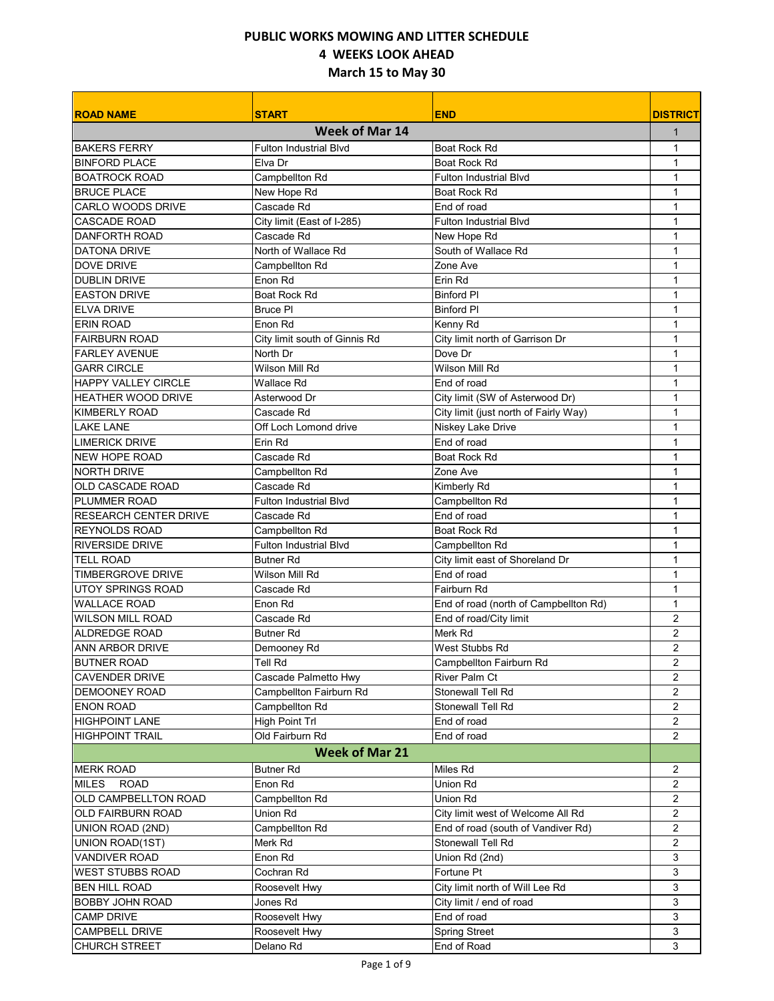| <b>ROAD NAME</b>             | <b>START</b>                  | <b>END</b>                            | <b>DISTRICT</b> |
|------------------------------|-------------------------------|---------------------------------------|-----------------|
|                              | <b>Week of Mar 14</b>         |                                       | 1               |
| <b>BAKERS FERRY</b>          | <b>Fulton Industrial Blvd</b> | <b>Boat Rock Rd</b>                   | $\mathbf{1}$    |
| <b>BINFORD PLACE</b>         | Elva Dr                       | <b>Boat Rock Rd</b>                   | 1               |
| <b>BOATROCK ROAD</b>         | Campbellton Rd                | <b>Fulton Industrial Blvd</b>         | $\mathbf{1}$    |
| <b>BRUCE PLACE</b>           | New Hope Rd                   | Boat Rock Rd                          | 1               |
| <b>CARLO WOODS DRIVE</b>     | Cascade Rd                    | End of road                           | 1               |
| <b>CASCADE ROAD</b>          | City limit (East of I-285)    | <b>Fulton Industrial Blvd</b>         | 1               |
| <b>DANFORTH ROAD</b>         | Cascade Rd                    | New Hope Rd                           | $\mathbf{1}$    |
| <b>DATONA DRIVE</b>          | North of Wallace Rd           | South of Wallace Rd                   | 1               |
| <b>DOVE DRIVE</b>            | Campbellton Rd                | Zone Ave                              | 1               |
| <b>DUBLIN DRIVE</b>          | Enon Rd                       | Erin Rd                               | 1               |
| <b>EASTON DRIVE</b>          | <b>Boat Rock Rd</b>           | <b>Binford PI</b>                     | 1               |
| <b>ELVA DRIVE</b>            | <b>Bruce PI</b>               | <b>Binford PI</b>                     | $\mathbf{1}$    |
| <b>ERIN ROAD</b>             | Enon Rd                       | Kenny Rd                              | 1               |
| <b>FAIRBURN ROAD</b>         | City limit south of Ginnis Rd | City limit north of Garrison Dr       | 1               |
| <b>FARLEY AVENUE</b>         | North Dr                      | Dove Dr                               | $\mathbf{1}$    |
| <b>GARR CIRCLE</b>           | Wilson Mill Rd                | Wilson Mill Rd                        | 1               |
| <b>HAPPY VALLEY CIRCLE</b>   | Wallace Rd                    | End of road                           | 1               |
| <b>HEATHER WOOD DRIVE</b>    | Asterwood Dr                  | City limit (SW of Asterwood Dr)       | $\mathbf{1}$    |
| <b>KIMBERLY ROAD</b>         | Cascade Rd                    | City limit (just north of Fairly Way) | 1               |
| <b>LAKE LANE</b>             | Off Loch Lomond drive         | Niskey Lake Drive                     | $\mathbf{1}$    |
| <b>LIMERICK DRIVE</b>        | Frin Rd                       | Fnd of road                           | 1               |
| <b>NEW HOPE ROAD</b>         | Cascade Rd                    | Boat Rock Rd                          | 1               |
| <b>NORTH DRIVE</b>           | Campbellton Rd                | Zone Ave                              | 1               |
| OLD CASCADE ROAD             | Cascade Rd                    | Kimberly Rd                           | 1               |
| PLUMMER ROAD                 | <b>Fulton Industrial Blvd</b> | Campbellton Rd                        | 1               |
| <b>RESEARCH CENTER DRIVE</b> | Cascade Rd                    | End of road                           | 1               |
| <b>REYNOLDS ROAD</b>         | Campbellton Rd                | <b>Boat Rock Rd</b>                   | 1               |
| <b>RIVERSIDE DRIVE</b>       | <b>Fulton Industrial Blvd</b> | Campbellton Rd                        | 1               |
| <b>TELL ROAD</b>             | <b>Butner Rd</b>              | City limit east of Shoreland Dr       | $\mathbf{1}$    |
| <b>TIMBERGROVE DRIVE</b>     | Wilson Mill Rd                | End of road                           | 1               |
| UTOY SPRINGS ROAD            | Cascade Rd                    | Fairburn Rd                           | $\mathbf{1}$    |
| <b>WALLACE ROAD</b>          | Enon Rd                       | End of road (north of Campbellton Rd) | 1               |
| <b>WILSON MILL ROAD</b>      | Cascade Rd                    | End of road/City limit                | 2               |
| ALDREDGE ROAD                | <b>Butner Rd</b>              | Merk Rd                               | 2               |
| <b>ANN ARBOR DRIVE</b>       | Demooney Rd                   | West Stubbs Rd                        | $\overline{2}$  |
| <b>BUTNER ROAD</b>           | Tell Rd                       | Campbellton Fairburn Rd               | 2               |
| <b>CAVENDER DRIVE</b>        | Cascade Palmetto Hwy          | River Palm Ct                         | $\overline{2}$  |
| <b>DEMOONEY ROAD</b>         | Campbellton Fairburn Rd       | <b>Stonewall Tell Rd</b>              | 2               |
| <b>ENON ROAD</b>             | Campbellton Rd                | Stonewall Tell Rd                     | 2               |
| <b>HIGHPOINT LANE</b>        | <b>High Point Trl</b>         | End of road                           | 2               |
| <b>HIGHPOINT TRAIL</b>       | Old Fairburn Rd               | End of road                           | 2               |
|                              | <b>Week of Mar 21</b>         |                                       |                 |
|                              |                               |                                       |                 |
| <b>MERK ROAD</b>             | <b>Butner Rd</b>              | Miles Rd                              | $\overline{2}$  |
| <b>MILES</b><br><b>ROAD</b>  | Enon Rd                       | Union Rd                              | 2               |
| OLD CAMPBELLTON ROAD         | Campbellton Rd                | Union Rd                              | $\overline{2}$  |
| OLD FAIRBURN ROAD            | Union Rd                      | City limit west of Welcome All Rd     | 2               |
| UNION ROAD (2ND)             | Campbellton Rd                | End of road (south of Vandiver Rd)    | 2               |
| UNION ROAD(1ST)              | Merk Rd                       | Stonewall Tell Rd                     | 2               |
| <b>VANDIVER ROAD</b>         | Enon Rd                       | Union Rd (2nd)                        | 3               |
| <b>WEST STUBBS ROAD</b>      | Cochran Rd                    | Fortune Pt                            | 3               |
| <b>BEN HILL ROAD</b>         | Roosevelt Hwy                 | City limit north of Will Lee Rd       | 3               |
| <b>BOBBY JOHN ROAD</b>       | Jones Rd                      | City limit / end of road              | 3               |
| <b>CAMP DRIVE</b>            | Roosevelt Hwy                 | End of road                           | 3               |
| <b>CAMPBELL DRIVE</b>        | Roosevelt Hwy                 | <b>Spring Street</b>                  | 3               |
| <b>CHURCH STREET</b>         | Delano Rd                     | End of Road                           | 3               |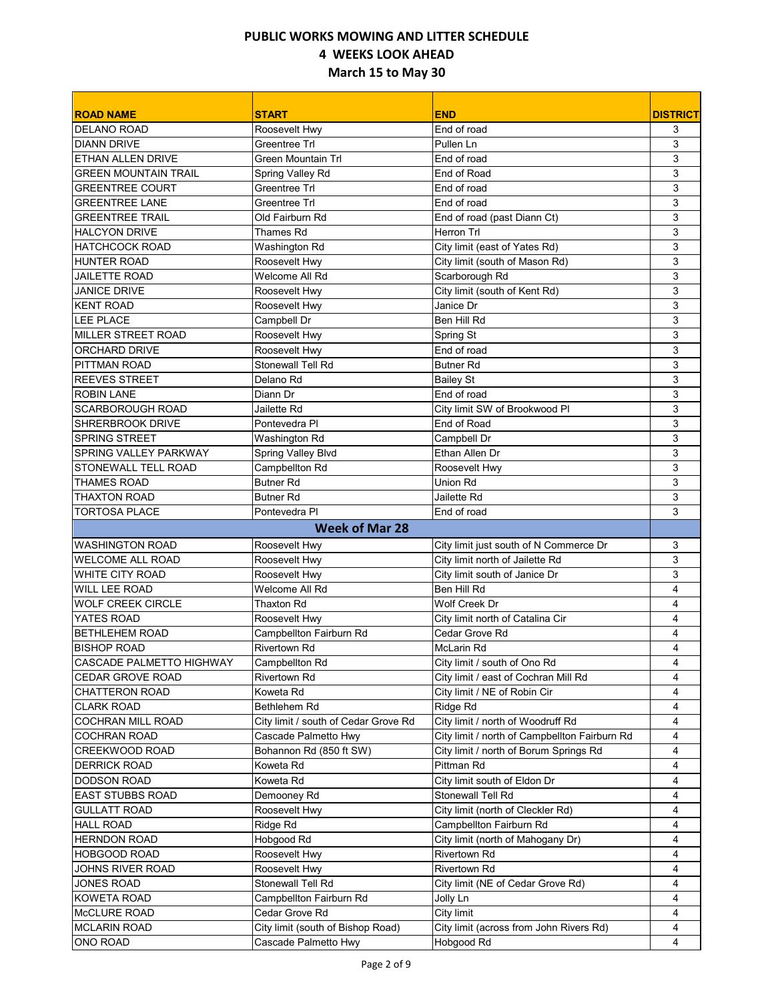| <b>ROAD NAME</b>            | <b>START</b>                         | <b>END</b>                                            | <b>DISTRICT</b> |
|-----------------------------|--------------------------------------|-------------------------------------------------------|-----------------|
| <b>DELANO ROAD</b>          | Roosevelt Hwy                        | End of road                                           | 3               |
| <b>DIANN DRIVE</b>          | <b>Greentree Trl</b>                 | Pullen Ln                                             | 3               |
| ETHAN ALLEN DRIVE           | Green Mountain Trl                   | End of road                                           | 3               |
| <b>GREEN MOUNTAIN TRAIL</b> | Spring Valley Rd                     | End of Road                                           | 3               |
| <b>GREENTREE COURT</b>      | <b>Greentree Trl</b>                 | End of road                                           | 3               |
| <b>GREENTREE LANE</b>       | Greentree Trl                        | End of road                                           | 3               |
| <b>GREENTREE TRAIL</b>      | Old Fairburn Rd                      | End of road (past Diann Ct)                           | 3               |
| <b>HALCYON DRIVE</b>        | Thames Rd                            | Herron Trl                                            | 3               |
| <b>HATCHCOCK ROAD</b>       | Washington Rd                        | City limit (east of Yates Rd)                         | 3               |
| <b>HUNTER ROAD</b>          | Roosevelt Hwy                        | City limit (south of Mason Rd)                        | 3               |
| <b>JAILETTE ROAD</b>        | Welcome All Rd                       | Scarborough Rd                                        | 3               |
| <b>JANICE DRIVE</b>         | Roosevelt Hwy                        | City limit (south of Kent Rd)                         | 3               |
| <b>KENT ROAD</b>            | Roosevelt Hwy                        | Janice Dr                                             | 3               |
| <b>LEE PLACE</b>            | Campbell Dr                          | Ben Hill Rd                                           | 3               |
| <b>MILLER STREET ROAD</b>   | Roosevelt Hwy                        | Spring St                                             | 3               |
| <b>ORCHARD DRIVE</b>        | Roosevelt Hwy                        | End of road                                           | 3               |
| PITTMAN ROAD                | Stonewall Tell Rd                    | <b>Butner Rd</b>                                      | 3               |
| <b>REEVES STREET</b>        | Delano Rd                            | <b>Bailey St</b>                                      | 3               |
| <b>ROBIN LANE</b>           | Diann Dr                             | End of road                                           | 3               |
| <b>SCARBOROUGH ROAD</b>     | Jailette Rd                          | City limit SW of Brookwood PI                         | 3               |
| <b>SHRERBROOK DRIVE</b>     | Pontevedra PI                        | End of Road                                           | 3               |
| <b>SPRING STREET</b>        | Washington Rd                        | Campbell Dr                                           | 3               |
| SPRING VALLEY PARKWAY       | Spring Valley Blvd                   | Ethan Allen Dr                                        | 3               |
| <b>STONEWALL TELL ROAD</b>  | Campbellton Rd                       | Roosevelt Hwy                                         | 3               |
| <b>THAMES ROAD</b>          | <b>Butner Rd</b>                     | Union Rd                                              | 3               |
| <b>THAXTON ROAD</b>         | <b>Butner Rd</b>                     | Jailette Rd                                           | 3               |
| <b>TORTOSA PLACE</b>        | Pontevedra PI                        | End of road                                           | 3               |
|                             | <b>Week of Mar 28</b>                |                                                       |                 |
| <b>WASHINGTON ROAD</b>      | Roosevelt Hwy                        | City limit just south of N Commerce Dr                | 3               |
| <b>WELCOME ALL ROAD</b>     | Roosevelt Hwy                        | City limit north of Jailette Rd                       | 3               |
| <b>WHITE CITY ROAD</b>      | Roosevelt Hwy                        | City limit south of Janice Dr                         | 3               |
| WILL LEE ROAD               | Welcome All Rd                       | Ben Hill Rd                                           | 4               |
| <b>WOLF CREEK CIRCLE</b>    | <b>Thaxton Rd</b>                    | Wolf Creek Dr                                         | 4               |
| YATES ROAD                  | Roosevelt Hwy                        | City limit north of Catalina Cir                      | 4               |
| <b>BETHLEHEM ROAD</b>       | Campbellton Fairburn Rd              | Cedar Grove Rd                                        | 4               |
| <b>BISHOP ROAD</b>          | <b>Rivertown Rd</b>                  | <b>McLarin Rd</b>                                     | 4               |
| CASCADE PALMETTO HIGHWAY    | Campbellton Rd                       | City limit / south of Ono Rd                          | 4               |
| CEDAR GROVE ROAD            | Rivertown Rd                         | City limit / east of Cochran Mill Rd                  | 4               |
| CHATTERON ROAD              | Koweta Rd                            | City limit / NE of Robin Cir                          | 4               |
| <b>CLARK ROAD</b>           | Bethlehem Rd                         | Ridge Rd                                              | 4               |
| COCHRAN MILL ROAD           | City limit / south of Cedar Grove Rd | City limit / north of Woodruff Rd                     | 4               |
| <b>COCHRAN ROAD</b>         | Cascade Palmetto Hwy                 | City limit / north of Campbellton Fairburn Rd         | 4               |
| CREEKWOOD ROAD              | Bohannon Rd (850 ft SW)              | City limit / north of Borum Springs Rd                | 4               |
| <b>DERRICK ROAD</b>         | Koweta Rd                            | Pittman Rd                                            | 4               |
| <b>DODSON ROAD</b>          | Koweta Rd                            | City limit south of Eldon Dr                          | 4               |
| <b>EAST STUBBS ROAD</b>     | Demooney Rd                          | Stonewall Tell Rd                                     | 4               |
| <b>GULLATT ROAD</b>         | Roosevelt Hwy                        | City limit (north of Cleckler Rd)                     | 4               |
| <b>HALL ROAD</b>            | Ridge Rd                             | Campbellton Fairburn Rd                               | 4               |
| <b>HERNDON ROAD</b>         | Hobgood Rd                           | City limit (north of Mahogany Dr)                     | 4               |
| <b>HOBGOOD ROAD</b>         | Roosevelt Hwy                        | Rivertown Rd                                          | 4               |
| JOHNS RIVER ROAD            | Roosevelt Hwy                        | Rivertown Rd                                          | 4               |
| <b>JONES ROAD</b>           | Stonewall Tell Rd                    |                                                       | 4               |
| KOWETA ROAD                 | Campbellton Fairburn Rd              | City limit (NE of Cedar Grove Rd)<br>Jolly Ln         | 4               |
| McCLURE ROAD                | Cedar Grove Rd                       | City limit                                            |                 |
| <b>MCLARIN ROAD</b>         | City limit (south of Bishop Road)    |                                                       | 4               |
| ONO ROAD                    | Cascade Palmetto Hwy                 | City limit (across from John Rivers Rd)<br>Hobgood Rd | 4<br>4          |
|                             |                                      |                                                       |                 |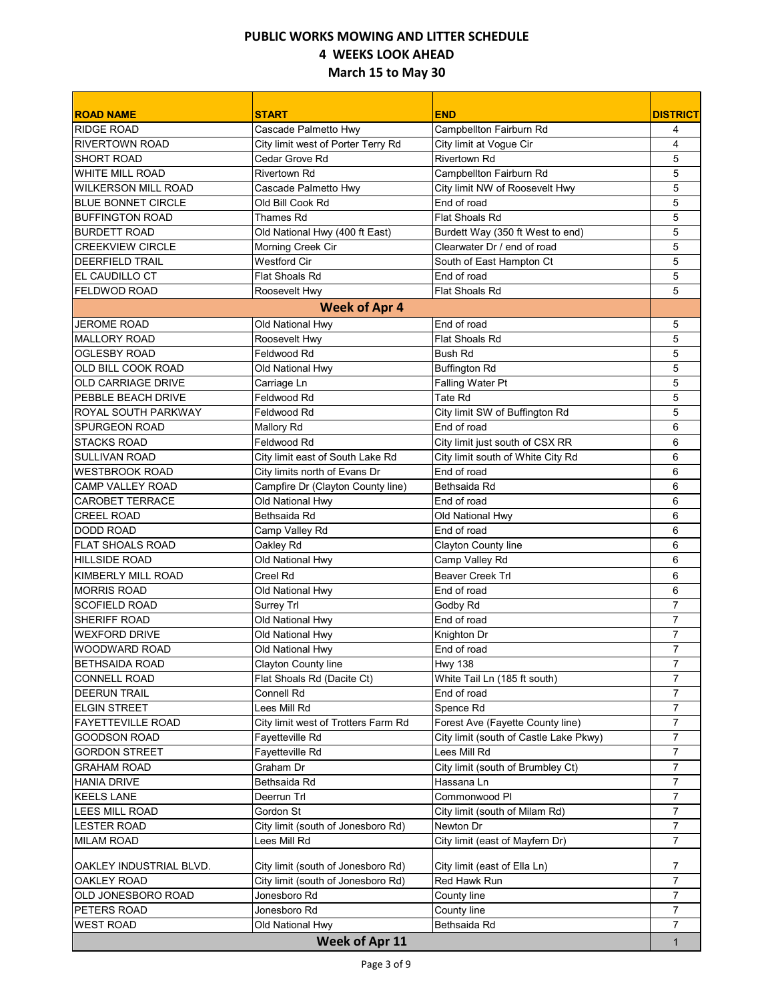| <b>ROAD NAME</b>           | <b>START</b>                        | <b>END</b>                             | <b>DISTRICT</b> |
|----------------------------|-------------------------------------|----------------------------------------|-----------------|
| <b>RIDGE ROAD</b>          | Cascade Palmetto Hwy                | Campbellton Fairburn Rd                | 4               |
| <b>RIVERTOWN ROAD</b>      | City limit west of Porter Terry Rd  | City limit at Vogue Cir                | 4               |
| <b>SHORT ROAD</b>          | Cedar Grove Rd                      | <b>Rivertown Rd</b>                    | 5               |
| WHITE MILL ROAD            | <b>Rivertown Rd</b>                 | Campbellton Fairburn Rd                | 5               |
| <b>WILKERSON MILL ROAD</b> | Cascade Palmetto Hwy                | City limit NW of Roosevelt Hwy         | 5               |
| <b>BLUE BONNET CIRCLE</b>  | Old Bill Cook Rd                    | End of road                            | 5               |
| <b>BUFFINGTON ROAD</b>     | Thames Rd                           | <b>Flat Shoals Rd</b>                  | 5               |
| <b>BURDETT ROAD</b>        | Old National Hwy (400 ft East)      | Burdett Way (350 ft West to end)       | 5               |
| <b>CREEKVIEW CIRCLE</b>    | Morning Creek Cir                   | Clearwater Dr / end of road            | 5               |
| <b>DEERFIELD TRAIL</b>     | <b>Westford Cir</b>                 | South of East Hampton Ct               | 5               |
| EL CAUDILLO CT             | <b>Flat Shoals Rd</b>               | End of road                            | 5               |
| <b>FELDWOD ROAD</b>        | Roosevelt Hwy                       | Flat Shoals Rd                         | 5               |
|                            | <b>Week of Apr 4</b>                |                                        |                 |
| <b>JEROME ROAD</b>         | Old National Hwy                    | End of road                            | 5               |
| <b>MALLORY ROAD</b>        | Roosevelt Hwy                       | Flat Shoals Rd                         | 5               |
| <b>OGLESBY ROAD</b>        | Feldwood Rd                         | <b>Bush Rd</b>                         | 5               |
| OLD BILL COOK ROAD         | Old National Hwy                    | <b>Buffington Rd</b>                   | 5               |
| <b>OLD CARRIAGE DRIVE</b>  | Carriage Ln                         | Falling Water Pt                       | 5               |
| PEBBLE BEACH DRIVE         | Feldwood Rd                         | <b>Tate Rd</b>                         | 5               |
| ROYAL SOUTH PARKWAY        | Feldwood Rd                         | City limit SW of Buffington Rd         | 5               |
| <b>SPURGEON ROAD</b>       | Mallory Rd                          | End of road                            | 6               |
| <b>STACKS ROAD</b>         | Feldwood Rd                         | City limit just south of CSX RR        | 6               |
| <b>SULLIVAN ROAD</b>       | City limit east of South Lake Rd    | City limit south of White City Rd      | 6               |
| <b>WESTBROOK ROAD</b>      | City limits north of Evans Dr       | End of road                            | 6               |
| <b>CAMP VALLEY ROAD</b>    | Campfire Dr (Clayton County line)   | Bethsaida Rd                           | 6               |
| <b>CAROBET TERRACE</b>     | Old National Hwy                    | End of road                            | 6               |
| <b>CREEL ROAD</b>          | Bethsaida Rd                        | Old National Hwy                       | 6               |
| <b>DODD ROAD</b>           | Camp Valley Rd                      | End of road                            | 6               |
| <b>FLAT SHOALS ROAD</b>    | Oakley Rd                           | Clayton County line                    | 6               |
| <b>HILLSIDE ROAD</b>       | Old National Hwy                    | Camp Valley Rd                         | 6               |
| KIMBERLY MILL ROAD         | Creel Rd                            | <b>Beaver Creek Trl</b>                | 6               |
| <b>MORRIS ROAD</b>         | Old National Hwy                    | End of road                            | 6               |
| <b>SCOFIELD ROAD</b>       | Surrey Trl                          | Godby Rd                               | $\overline{7}$  |
| <b>SHERIFF ROAD</b>        | Old National Hwy                    | End of road                            | 7               |
| <b>WEXFORD DRIVE</b>       | Old National Hwy                    | Knighton Dr                            | $\overline{7}$  |
| <b>WOODWARD ROAD</b>       | Old National Hwy                    | End of road                            | $\overline{7}$  |
| <b>BETHSAIDA ROAD</b>      | Clayton County line                 | <b>Hwy 138</b>                         | 7               |
| <b>CONNELL ROAD</b>        | Flat Shoals Rd (Dacite Ct)          | White Tail Ln (185 ft south)           | $\overline{7}$  |
| <b>DEERUN TRAIL</b>        | Connell Rd                          | End of road                            | 7               |
| <b>ELGIN STREET</b>        | Lees Mill Rd                        | Spence Rd                              | 7               |
| <b>FAYETTEVILLE ROAD</b>   | City limit west of Trotters Farm Rd | Forest Ave (Fayette County line)       | 7               |
| <b>GOODSON ROAD</b>        | Fayetteville Rd                     | City limit (south of Castle Lake Pkwy) | 7               |
| <b>GORDON STREET</b>       | Fayetteville Rd                     | Lees Mill Rd                           | 7               |
| <b>GRAHAM ROAD</b>         | Graham Dr                           | City limit (south of Brumbley Ct)      | 7               |
| <b>HANIA DRIVE</b>         | Bethsaida Rd                        | Hassana Ln                             | 7               |
| <b>KEELS LANE</b>          | Deerrun Trl                         | Commonwood PI                          | 7               |
| LEES MILL ROAD             | Gordon St                           | City limit (south of Milam Rd)         | $\overline{7}$  |
| <b>LESTER ROAD</b>         | City limit (south of Jonesboro Rd)  | Newton Dr                              | $\overline{7}$  |
| <b>MILAM ROAD</b>          | Lees Mill Rd                        | City limit (east of Mayfern Dr)        | $\overline{7}$  |
| OAKLEY INDUSTRIAL BLVD.    | City limit (south of Jonesboro Rd)  | City limit (east of Ella Ln)           | 7               |
| OAKLEY ROAD                | City limit (south of Jonesboro Rd)  | Red Hawk Run                           | 7               |
| OLD JONESBORO ROAD         | Jonesboro Rd                        | County line                            | $\overline{7}$  |
| PETERS ROAD                | Jonesboro Rd                        | County line                            | 7               |
| <b>WEST ROAD</b>           | Old National Hwy                    | Bethsaida Rd                           | $\overline{7}$  |
|                            | Week of Apr 11                      |                                        | $\mathbf{1}$    |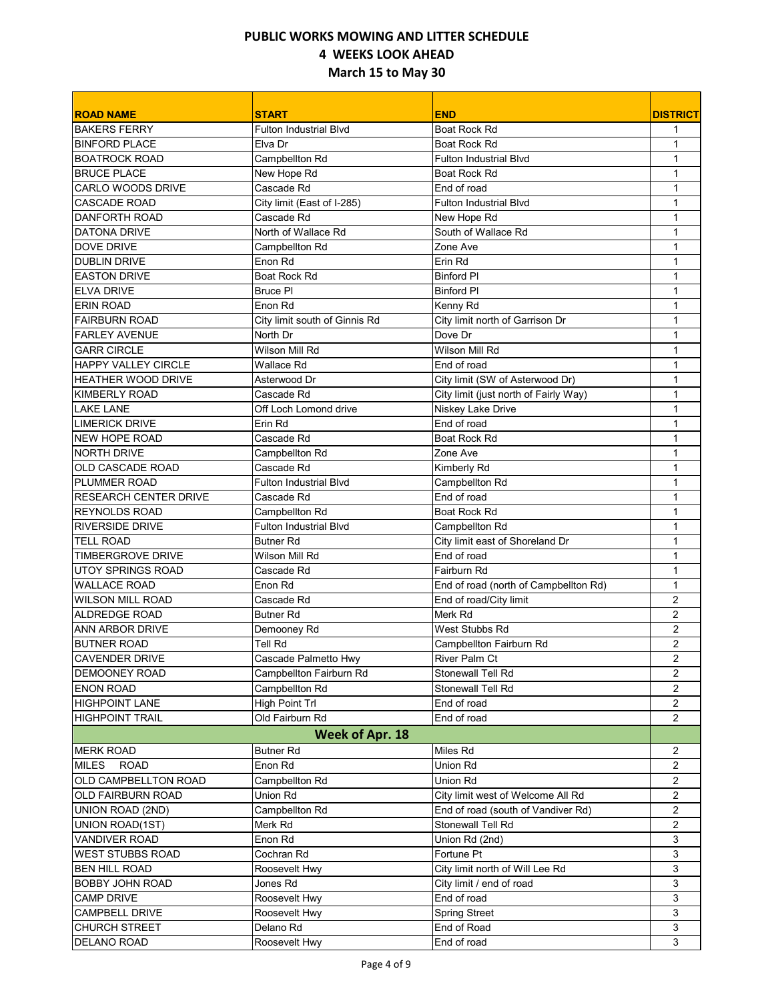| <b>ROAD NAME</b>             | <b>START</b>                  | <b>END</b>                            | <b>DISTRICT</b>         |
|------------------------------|-------------------------------|---------------------------------------|-------------------------|
| <b>BAKERS FERRY</b>          | <b>Fulton Industrial Blvd</b> | Boat Rock Rd                          | 1                       |
| <b>BINFORD PLACE</b>         | Elva Dr                       | Boat Rock Rd                          | 1                       |
| <b>BOATROCK ROAD</b>         | Campbellton Rd                | <b>Fulton Industrial Blvd</b>         | 1                       |
| <b>BRUCE PLACE</b>           | New Hope Rd                   | Boat Rock Rd                          | $\mathbf{1}$            |
| <b>CARLO WOODS DRIVE</b>     | Cascade Rd                    | End of road                           | $\mathbf{1}$            |
| <b>CASCADE ROAD</b>          | City limit (East of I-285)    | <b>Fulton Industrial Blvd</b>         | 1                       |
| DANFORTH ROAD                | Cascade Rd                    | New Hope Rd                           | 1                       |
| <b>DATONA DRIVE</b>          | North of Wallace Rd           | South of Wallace Rd                   | 1                       |
| <b>DOVE DRIVE</b>            | Campbellton Rd                | Zone Ave                              | 1                       |
| <b>DUBLIN DRIVE</b>          | Enon Rd                       | Erin Rd                               | $\mathbf 1$             |
| <b>EASTON DRIVE</b>          | Boat Rock Rd                  | <b>Binford PI</b>                     | $\mathbf{1}$            |
| <b>ELVA DRIVE</b>            | <b>Bruce PI</b>               | <b>Binford PI</b>                     | 1                       |
| <b>ERIN ROAD</b>             | Enon Rd                       | Kenny Rd                              | 1                       |
| <b>FAIRBURN ROAD</b>         | City limit south of Ginnis Rd | City limit north of Garrison Dr       | 1                       |
| <b>FARLEY AVENUE</b>         | North Dr                      | Dove Dr                               | 1                       |
| <b>GARR CIRCLE</b>           | Wilson Mill Rd                | Wilson Mill Rd                        | 1                       |
| <b>HAPPY VALLEY CIRCLE</b>   | Wallace Rd                    | End of road                           | 1                       |
| <b>HEATHER WOOD DRIVE</b>    | Asterwood Dr                  | City limit (SW of Asterwood Dr)       | 1                       |
| <b>KIMBERLY ROAD</b>         | Cascade Rd                    | City limit (just north of Fairly Way) | $\mathbf{1}$            |
| <b>LAKE LANE</b>             | Off Loch Lomond drive         | Niskey Lake Drive                     | 1                       |
| <b>LIMERICK DRIVE</b>        | Erin Rd                       | End of road                           | 1                       |
| NEW HOPE ROAD                | Cascade Rd                    | Boat Rock Rd                          | $\mathbf{1}$            |
| <b>NORTH DRIVE</b>           | Campbellton Rd                | Zone Ave                              | $\mathbf{1}$            |
| OLD CASCADE ROAD             | Cascade Rd                    | Kimberly Rd                           | $\mathbf{1}$            |
| PLUMMER ROAD                 | <b>Fulton Industrial Blvd</b> | Campbellton Rd                        | 1                       |
| <b>RESEARCH CENTER DRIVE</b> | Cascade Rd                    | End of road                           | $\mathbf{1}$            |
| <b>REYNOLDS ROAD</b>         | Campbellton Rd                | Boat Rock Rd                          | $\mathbf{1}$            |
| <b>RIVERSIDE DRIVE</b>       | <b>Fulton Industrial Blvd</b> | Campbellton Rd                        | $\mathbf{1}$            |
| <b>TELL ROAD</b>             | <b>Butner Rd</b>              | City limit east of Shoreland Dr       | $\mathbf{1}$            |
| <b>TIMBERGROVE DRIVE</b>     | Wilson Mill Rd                | End of road                           | $\mathbf{1}$            |
| <b>UTOY SPRINGS ROAD</b>     | Cascade Rd                    | Fairburn Rd                           | 1                       |
| <b>WALLACE ROAD</b>          | Enon Rd                       | End of road (north of Campbellton Rd) | $\mathbf{1}$            |
| <b>WILSON MILL ROAD</b>      | Cascade Rd                    | End of road/City limit                | 2                       |
| <b>ALDREDGE ROAD</b>         | <b>Butner Rd</b>              | Merk Rd                               | $\overline{c}$          |
| <b>ANN ARBOR DRIVE</b>       | Demooney Rd                   | West Stubbs Rd                        | $\overline{2}$          |
| <b>BUTNER ROAD</b>           | Tell Rd                       | Campbellton Fairburn Rd               | $\overline{c}$          |
| CAVENDER DRIVE               | Cascade Palmetto Hwy          | River Palm Ct                         | $\overline{\mathbf{c}}$ |
| <b>DEMOONEY ROAD</b>         | Campbellton Fairburn Rd       | Stonewall Tell Rd                     | $\overline{2}$          |
| <b>ENON ROAD</b>             | Campbellton Rd                | Stonewall Tell Rd                     | 2                       |
| <b>HIGHPOINT LANE</b>        | High Point Trl                | End of road                           | $\overline{2}$          |
| <b>HIGHPOINT TRAIL</b>       | Old Fairburn Rd               | End of road                           | $\overline{2}$          |
|                              | <b>Week of Apr. 18</b>        |                                       |                         |
| <b>MERK ROAD</b>             | <b>Butner Rd</b>              | Miles Rd                              | 2                       |
| MILES<br><b>ROAD</b>         | Enon Rd                       | Union Rd                              | $\overline{2}$          |
| OLD CAMPBELLTON ROAD         | Campbellton Rd                | Union Rd                              | 2                       |
| OLD FAIRBURN ROAD            | Union Rd                      | City limit west of Welcome All Rd     | $\overline{2}$          |
| UNION ROAD (2ND)             | Campbellton Rd                | End of road (south of Vandiver Rd)    | $\overline{2}$          |
| UNION ROAD(1ST)              | Merk Rd                       | Stonewall Tell Rd                     | 2                       |
| VANDIVER ROAD                | Enon Rd                       | Union Rd (2nd)                        | 3                       |
| WEST STUBBS ROAD             | Cochran Rd                    | Fortune Pt                            | 3                       |
| <b>BEN HILL ROAD</b>         | Roosevelt Hwy                 | City limit north of Will Lee Rd       | 3                       |
| <b>BOBBY JOHN ROAD</b>       | Jones Rd                      | City limit / end of road              | 3                       |
| <b>CAMP DRIVE</b>            | Roosevelt Hwy                 | End of road                           | 3                       |
| CAMPBELL DRIVE               | Roosevelt Hwy                 | <b>Spring Street</b>                  | 3                       |
| CHURCH STREET                | Delano Rd                     | End of Road                           | 3                       |
| DELANO ROAD                  | Roosevelt Hwy                 | End of road                           | 3                       |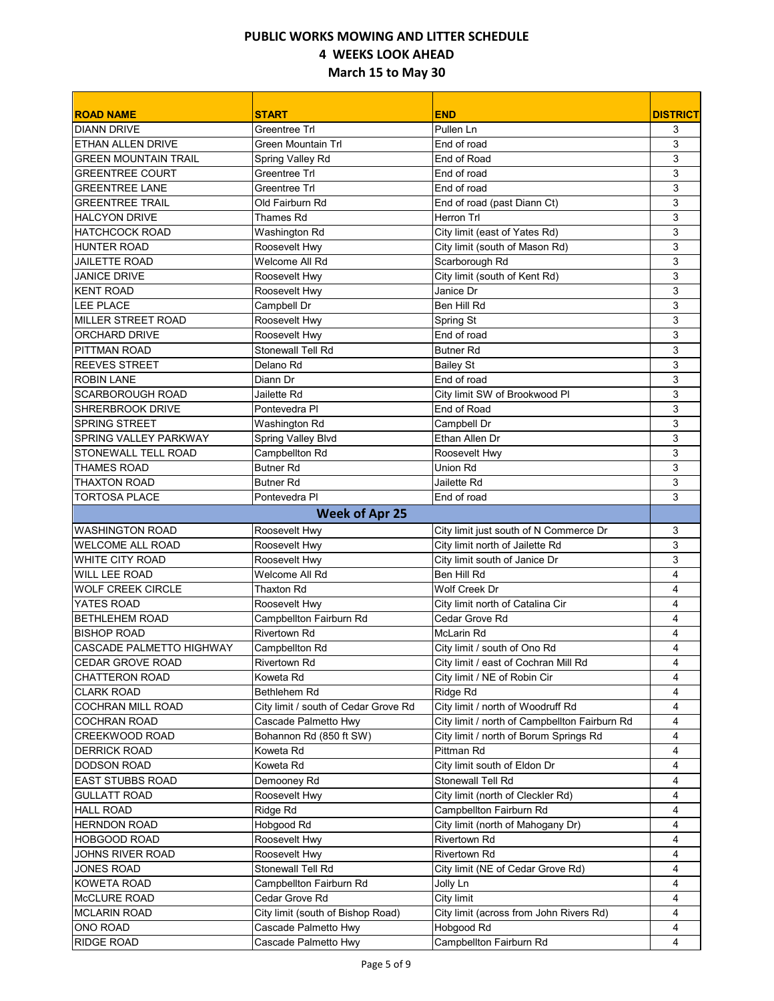| <b>ROAD NAME</b>                | <b>START</b>                         | <b>END</b>                                    | <b>DISTRICT</b> |
|---------------------------------|--------------------------------------|-----------------------------------------------|-----------------|
| <b>DIANN DRIVE</b>              | Greentree Trl                        | Pullen Ln                                     | 3               |
| <b>ETHAN ALLEN DRIVE</b>        | <b>Green Mountain Trl</b>            | End of road                                   | 3               |
| <b>GREEN MOUNTAIN TRAIL</b>     | Spring Valley Rd                     | End of Road                                   | 3               |
| <b>GREENTREE COURT</b>          | <b>Greentree Trl</b>                 | End of road                                   | 3               |
| <b>GREENTREE LANE</b>           | Greentree Trl                        | End of road                                   | 3               |
| <b>GREENTREE TRAIL</b>          | Old Fairburn Rd                      | End of road (past Diann Ct)                   | 3               |
| <b>HALCYON DRIVE</b>            | Thames Rd                            | Herron Trl                                    | 3               |
| <b>HATCHCOCK ROAD</b>           | Washington Rd                        | City limit (east of Yates Rd)                 | 3               |
| <b>HUNTER ROAD</b>              | Roosevelt Hwy                        | City limit (south of Mason Rd)                | 3               |
| <b>JAILETTE ROAD</b>            | Welcome All Rd                       | Scarborough Rd                                | 3               |
| <b>JANICE DRIVE</b>             | Roosevelt Hwy                        | City limit (south of Kent Rd)                 | 3               |
| <b>KENT ROAD</b>                | Roosevelt Hwy                        | Janice Dr                                     | 3               |
| LEE PLACE                       | Campbell Dr                          | Ben Hill Rd                                   | 3               |
| <b>MILLER STREET ROAD</b>       | Roosevelt Hwy                        | Spring St                                     | 3               |
| ORCHARD DRIVE                   | Roosevelt Hwy                        | End of road                                   | 3               |
| PITTMAN ROAD                    | Stonewall Tell Rd                    | <b>Butner Rd</b>                              | 3               |
| <b>REEVES STREET</b>            | Delano Rd                            | <b>Bailey St</b>                              | 3               |
| <b>ROBIN LANE</b>               | Diann Dr                             | End of road                                   | 3               |
| SCARBOROUGH ROAD                | Jailette Rd                          | City limit SW of Brookwood PI                 | 3               |
| <b>SHRERBROOK DRIVE</b>         | Pontevedra PI                        | End of Road                                   | 3               |
| <b>SPRING STREET</b>            | Washington Rd                        | Campbell Dr                                   | 3               |
| SPRING VALLEY PARKWAY           | Spring Valley Blvd                   | Ethan Allen Dr                                | 3               |
| STONEWALL TELL ROAD             | Campbellton Rd                       | Roosevelt Hwy                                 | 3               |
| <b>THAMES ROAD</b>              | <b>Butner Rd</b>                     | Union Rd                                      | 3               |
| <b>THAXTON ROAD</b>             | <b>Butner Rd</b>                     | Jailette Rd                                   | 3               |
| <b>TORTOSA PLACE</b>            | Pontevedra Pl                        | End of road                                   | 3               |
|                                 | <b>Week of Apr 25</b>                |                                               |                 |
| <b>WASHINGTON ROAD</b>          | Roosevelt Hwy                        | City limit just south of N Commerce Dr        | 3               |
| <b>WELCOME ALL ROAD</b>         | Roosevelt Hwy                        | City limit north of Jailette Rd               | 3               |
| WHITE CITY ROAD                 | Roosevelt Hwy                        | City limit south of Janice Dr                 | 3               |
| <b>WILL LEE ROAD</b>            | Welcome All Rd                       | Ben Hill Rd                                   | 4               |
| <b>WOLF CREEK CIRCLE</b>        | <b>Thaxton Rd</b>                    | Wolf Creek Dr                                 | 4               |
| YATES ROAD                      | Roosevelt Hwy                        | City limit north of Catalina Cir              | 4               |
| <b>BETHLEHEM ROAD</b>           | Campbellton Fairburn Rd              | Cedar Grove Rd                                | 4               |
| <b>BISHOP ROAD</b>              | <b>Rivertown Rd</b>                  | McLarin Rd                                    | 4               |
| <b>CASCADE PALMETTO HIGHWAY</b> | Campbellton Rd                       | City limit / south of Ono Rd                  | 4               |
| CEDAR GROVE ROAD                | Rivertown Rd                         | City limit / east of Cochran Mill Rd          | 4               |
| CHATTERON ROAD                  | Koweta Rd                            | City limit / NE of Robin Cir                  | 4               |
| <b>CLARK ROAD</b>               | Bethlehem Rd                         | Ridge Rd                                      | 4               |
| COCHRAN MILL ROAD               | City limit / south of Cedar Grove Rd | City limit / north of Woodruff Rd             | 4               |
| <b>COCHRAN ROAD</b>             | Cascade Palmetto Hwy                 | City limit / north of Campbellton Fairburn Rd | 4               |
| CREEKWOOD ROAD                  | Bohannon Rd (850 ft SW)              | City limit / north of Borum Springs Rd        | 4               |
| <b>DERRICK ROAD</b>             | Koweta Rd                            | Pittman Rd                                    | 4               |
| <b>DODSON ROAD</b>              | Koweta Rd                            | City limit south of Eldon Dr                  | 4               |
| <b>EAST STUBBS ROAD</b>         | Demooney Rd                          | Stonewall Tell Rd                             | 4               |
| <b>GULLATT ROAD</b>             | Roosevelt Hwy                        | City limit (north of Cleckler Rd)             | 4               |
| <b>HALL ROAD</b>                | Ridge Rd                             | Campbellton Fairburn Rd                       | 4               |
| <b>HERNDON ROAD</b>             | Hobgood Rd                           | City limit (north of Mahogany Dr)             | 4               |
| <b>HOBGOOD ROAD</b>             | Roosevelt Hwy                        | Rivertown Rd                                  | 4               |
| JOHNS RIVER ROAD                | Roosevelt Hwy                        | Rivertown Rd                                  | 4               |
| <b>JONES ROAD</b>               | Stonewall Tell Rd                    | City limit (NE of Cedar Grove Rd)             | 4               |
| KOWETA ROAD                     | Campbellton Fairburn Rd              | Jolly Ln                                      | 4               |
| McCLURE ROAD                    | Cedar Grove Rd                       | City limit                                    | 4               |
| <b>MCLARIN ROAD</b>             | City limit (south of Bishop Road)    | City limit (across from John Rivers Rd)       | 4               |
| ONO ROAD                        | Cascade Palmetto Hwy                 | Hobgood Rd                                    | 4               |
| RIDGE ROAD                      | Cascade Palmetto Hwy                 | Campbellton Fairburn Rd                       | 4               |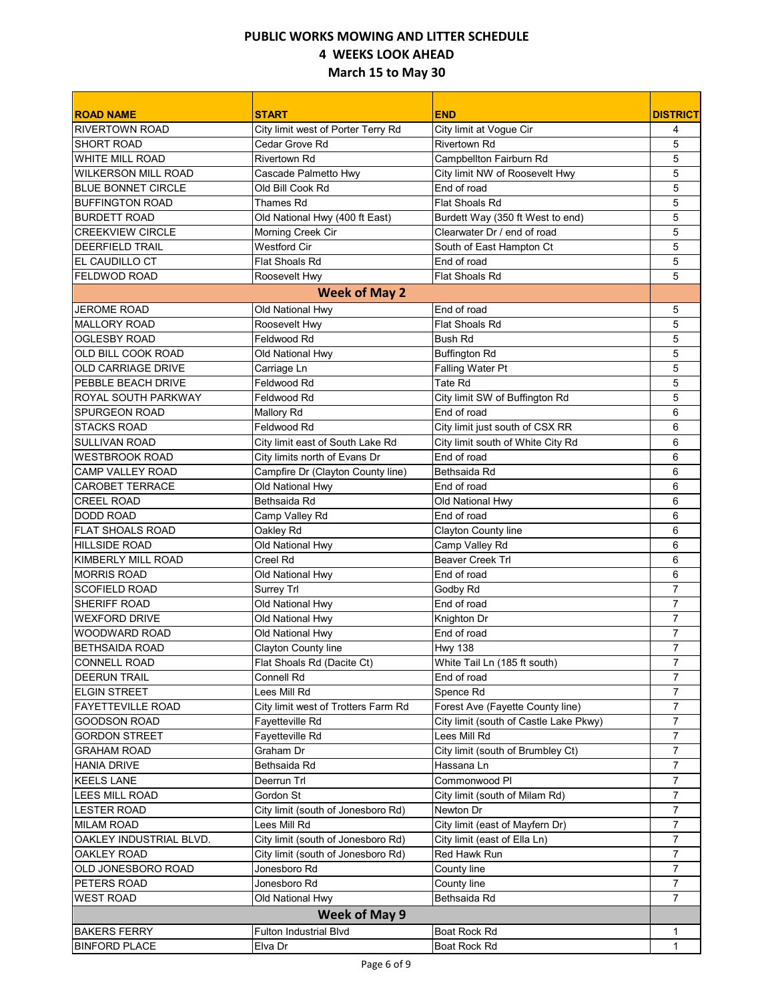| <b>ROAD NAME</b>           | <b>START</b>                        | <b>END</b>                             | <b>DISTRICT</b> |
|----------------------------|-------------------------------------|----------------------------------------|-----------------|
| <b>RIVERTOWN ROAD</b>      | City limit west of Porter Terry Rd  | City limit at Vogue Cir                | 4               |
| <b>SHORT ROAD</b>          | Cedar Grove Rd                      | Rivertown Rd                           | 5               |
| <b>WHITE MILL ROAD</b>     | <b>Rivertown Rd</b>                 | Campbellton Fairburn Rd                | 5               |
| <b>WILKERSON MILL ROAD</b> | Cascade Palmetto Hwy                | City limit NW of Roosevelt Hwy         | 5               |
| <b>BLUE BONNET CIRCLE</b>  | Old Bill Cook Rd                    | End of road                            | 5               |
| <b>BUFFINGTON ROAD</b>     | Thames Rd                           | <b>Flat Shoals Rd</b>                  | 5               |
| <b>BURDETT ROAD</b>        | Old National Hwy (400 ft East)      | Burdett Way (350 ft West to end)       | 5               |
| <b>CREEKVIEW CIRCLE</b>    | Morning Creek Cir                   | Clearwater Dr / end of road            | 5               |
| <b>DEERFIELD TRAIL</b>     | <b>Westford Cir</b>                 | South of East Hampton Ct               | 5               |
| <b>EL CAUDILLO CT</b>      | Flat Shoals Rd                      | End of road                            | 5               |
| <b>FELDWOD ROAD</b>        | Roosevelt Hwy                       | <b>Flat Shoals Rd</b>                  | 5               |
|                            | <b>Week of May 2</b>                |                                        |                 |
| <b>JEROME ROAD</b>         | Old National Hwy                    | End of road                            | 5               |
| <b>MALLORY ROAD</b>        | Roosevelt Hwy                       | Flat Shoals Rd                         | 5               |
| <b>OGLESBY ROAD</b>        | Feldwood Rd                         | <b>Bush Rd</b>                         | 5               |
| OLD BILL COOK ROAD         | Old National Hwy                    | <b>Buffington Rd</b>                   | 5               |
| <b>OLD CARRIAGE DRIVE</b>  | Carriage Ln                         | Falling Water Pt                       | 5               |
| PEBBLE BEACH DRIVE         | Feldwood Rd                         | <b>Tate Rd</b>                         | 5               |
| ROYAL SOUTH PARKWAY        | Feldwood Rd                         | City limit SW of Buffington Rd         | 5               |
| <b>SPURGEON ROAD</b>       | Mallory Rd                          | End of road                            | 6               |
| <b>STACKS ROAD</b>         | Feldwood Rd                         | City limit just south of CSX RR        | 6               |
| <b>SULLIVAN ROAD</b>       | City limit east of South Lake Rd    | City limit south of White City Rd      | 6               |
| <b>WESTBROOK ROAD</b>      | City limits north of Evans Dr       | End of road                            | 6               |
| <b>CAMP VALLEY ROAD</b>    | Campfire Dr (Clayton County line)   | Bethsaida Rd                           | 6               |
| CAROBET TERRACE            | Old National Hwy                    | End of road                            | 6               |
| <b>CREEL ROAD</b>          | Bethsaida Rd                        | Old National Hwy                       | 6               |
| DODD ROAD                  | Camp Valley Rd                      | End of road                            | 6               |
| <b>FLAT SHOALS ROAD</b>    | Oakley Rd                           | Clayton County line                    | 6               |
| <b>HILLSIDE ROAD</b>       | Old National Hwy                    | Camp Valley Rd                         | 6               |
| <b>KIMBERLY MILL ROAD</b>  | Creel Rd                            | <b>Beaver Creek Trl</b>                | 6               |
| <b>MORRIS ROAD</b>         | Old National Hwy                    | End of road                            | 6               |
| <b>SCOFIELD ROAD</b>       | Surrey Trl                          | Godby Rd                               | $\overline{7}$  |
| SHERIFF ROAD               | Old National Hwy                    | End of road                            | $\overline{7}$  |
| <b>WEXFORD DRIVE</b>       | Old National Hwy                    | Knighton Dr                            | $\overline{7}$  |
| <b>WOODWARD ROAD</b>       | Old National Hwy                    | End of road                            | $\overline{7}$  |
| <b>BETHSAIDA ROAD</b>      | Clayton County line                 | <b>Hwy 138</b>                         | $\overline{7}$  |
| <b>CONNELL ROAD</b>        | Flat Shoals Rd (Dacite Ct)          | White Tail Ln (185 ft south)           | 7               |
| <b>DEERUN TRAIL</b>        | Connell Rd                          | End of road                            | $\overline{7}$  |
| <b>ELGIN STREET</b>        | Lees Mill Rd                        | Spence Rd                              | 7               |
| <b>FAYETTEVILLE ROAD</b>   | City limit west of Trotters Farm Rd | Forest Ave (Fayette County line)       | 7               |
| <b>GOODSON ROAD</b>        | Fayetteville Rd                     | City limit (south of Castle Lake Pkwy) | 7               |
| <b>GORDON STREET</b>       | Fayetteville Rd                     | Lees Mill Rd                           | 7               |
| <b>GRAHAM ROAD</b>         | Graham Dr                           | City limit (south of Brumbley Ct)      | $\overline{7}$  |
| <b>HANIA DRIVE</b>         | Bethsaida Rd                        | Hassana Ln                             | 7               |
| <b>KEELS LANE</b>          | Deerrun Trl                         | Commonwood PI                          | $\overline{7}$  |
| LEES MILL ROAD             | Gordon St                           | City limit (south of Milam Rd)         | $\overline{7}$  |
| <b>LESTER ROAD</b>         | City limit (south of Jonesboro Rd)  | Newton Dr                              | 7               |
| <b>MILAM ROAD</b>          | Lees Mill Rd                        | City limit (east of Mayfern Dr)        | $\overline{7}$  |
| OAKLEY INDUSTRIAL BLVD.    | City limit (south of Jonesboro Rd)  | City limit (east of Ella Ln)           | 7               |
| OAKLEY ROAD                | City limit (south of Jonesboro Rd)  | Red Hawk Run                           | $\overline{7}$  |
| OLD JONESBORO ROAD         | Jonesboro Rd                        | County line                            | $\overline{7}$  |
| PETERS ROAD                | Jonesboro Rd                        | County line                            | $\overline{7}$  |
| <b>WEST ROAD</b>           | Old National Hwy                    | Bethsaida Rd                           | 7               |
|                            | Week of May 9                       |                                        |                 |
| <b>BAKERS FERRY</b>        | Fulton Industrial Blvd              | Boat Rock Rd                           |                 |
| <b>BINFORD PLACE</b>       | Elva Dr                             | Boat Rock Rd                           | 1               |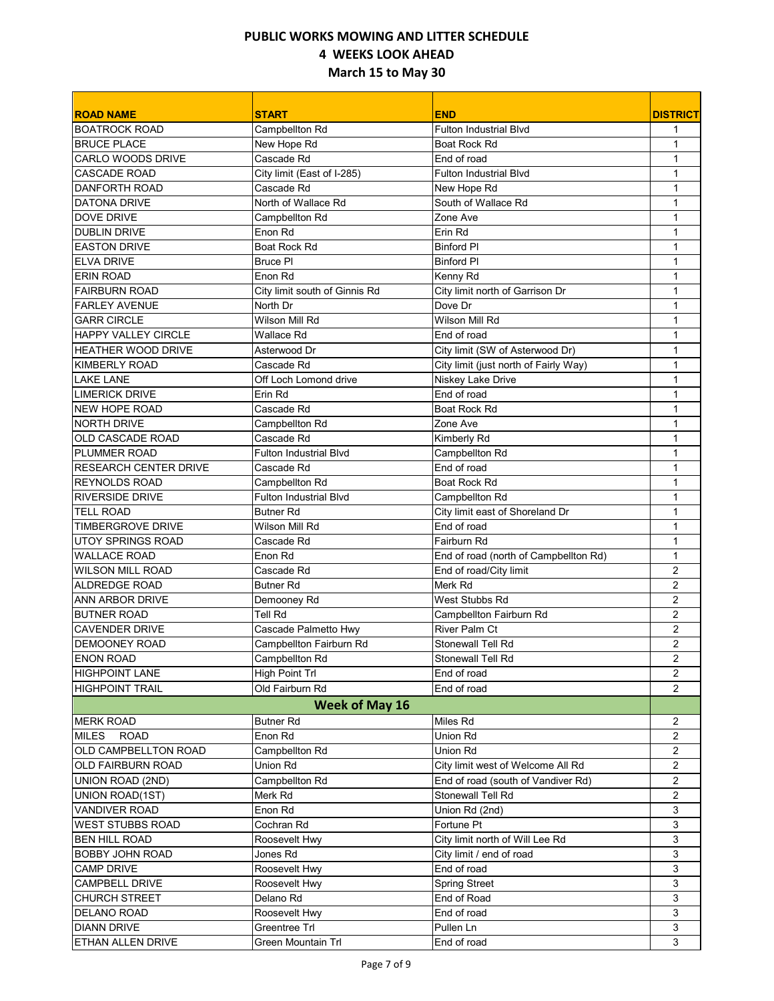| <b>ROAD NAME</b>             | <b>START</b>                  | <b>END</b>                            | <b>DISTRICT</b>         |
|------------------------------|-------------------------------|---------------------------------------|-------------------------|
| <b>BOATROCK ROAD</b>         | Campbellton Rd                | <b>Fulton Industrial Blvd</b>         |                         |
| <b>BRUCE PLACE</b>           | New Hope Rd                   | Boat Rock Rd                          | $\mathbf{1}$            |
| CARLO WOODS DRIVE            | Cascade Rd                    | End of road                           | $\mathbf{1}$            |
| CASCADE ROAD                 | City limit (East of I-285)    | <b>Fulton Industrial Blvd</b>         | $\mathbf{1}$            |
| <b>DANFORTH ROAD</b>         | Cascade Rd                    | New Hope Rd                           | 1                       |
| <b>DATONA DRIVE</b>          | North of Wallace Rd           | South of Wallace Rd                   | $\mathbf{1}$            |
| <b>DOVE DRIVE</b>            | Campbellton Rd                | Zone Ave                              | $\mathbf{1}$            |
| <b>DUBLIN DRIVE</b>          | Enon Rd                       | Erin Rd                               | $\mathbf{1}$            |
| <b>EASTON DRIVE</b>          | Boat Rock Rd                  | <b>Binford PI</b>                     | 1                       |
| <b>ELVA DRIVE</b>            | <b>Bruce PI</b>               | <b>Binford PI</b>                     | 1                       |
| <b>ERIN ROAD</b>             | Enon Rd                       | Kenny Rd                              | $\mathbf{1}$            |
| <b>FAIRBURN ROAD</b>         | City limit south of Ginnis Rd | City limit north of Garrison Dr       | $\mathbf{1}$            |
| <b>FARLEY AVENUE</b>         | North Dr                      | Dove Dr                               | $\mathbf{1}$            |
| <b>GARR CIRCLE</b>           | Wilson Mill Rd                | Wilson Mill Rd                        | 1                       |
| <b>HAPPY VALLEY CIRCLE</b>   | Wallace Rd                    | End of road                           | 1                       |
| <b>HEATHER WOOD DRIVE</b>    | Asterwood Dr                  | City limit (SW of Asterwood Dr)       | 1                       |
| <b>KIMBERLY ROAD</b>         | Cascade Rd                    | City limit (just north of Fairly Way) | 1                       |
| <b>LAKE LANE</b>             | Off Loch Lomond drive         | Niskey Lake Drive                     | 1                       |
| <b>LIMERICK DRIVE</b>        | Erin Rd                       | End of road                           | $\mathbf{1}$            |
| <b>NEW HOPE ROAD</b>         | Cascade Rd                    | <b>Boat Rock Rd</b>                   | 1                       |
| <b>NORTH DRIVE</b>           | Campbellton Rd                | Zone Ave                              | $\mathbf{1}$            |
| OLD CASCADE ROAD             | Cascade Rd                    | Kimberly Rd                           | 1                       |
| PLUMMER ROAD                 | <b>Fulton Industrial Blvd</b> | Campbellton Rd                        | $\mathbf{1}$            |
| <b>RESEARCH CENTER DRIVE</b> | Cascade Rd                    | End of road                           | 1                       |
| <b>REYNOLDS ROAD</b>         | Campbellton Rd                | Boat Rock Rd                          | $\mathbf{1}$            |
| <b>RIVERSIDE DRIVE</b>       | <b>Fulton Industrial Blvd</b> | Campbellton Rd                        | 1                       |
| <b>TELL ROAD</b>             | <b>Butner Rd</b>              | City limit east of Shoreland Dr       | $\mathbf{1}$            |
| <b>TIMBERGROVE DRIVE</b>     | Wilson Mill Rd                | End of road                           | $\mathbf{1}$            |
| <b>UTOY SPRINGS ROAD</b>     | Cascade Rd                    | Fairburn Rd                           | $\mathbf{1}$            |
| <b>WALLACE ROAD</b>          | Enon Rd                       | End of road (north of Campbellton Rd) | $\mathbf{1}$            |
| <b>WILSON MILL ROAD</b>      | Cascade Rd                    | End of road/City limit                | 2                       |
| <b>ALDREDGE ROAD</b>         | <b>Butner Rd</b>              | Merk Rd                               | $\overline{2}$          |
| <b>ANN ARBOR DRIVE</b>       | Demooney Rd                   | West Stubbs Rd                        | $\overline{2}$          |
| <b>BUTNER ROAD</b>           | Tell Rd                       | Campbellton Fairburn Rd               | $\overline{c}$          |
| <b>CAVENDER DRIVE</b>        | Cascade Palmetto Hwy          | River Palm Ct                         | $\overline{2}$          |
| DEMOONEY ROAD                | Campbellton Fairburn Rd       | <b>Stonewall Tell Rd</b>              | $\overline{c}$          |
| <b>ENON ROAD</b>             | Campbellton Rd                | Stonewall Tell Rd                     | $\overline{\mathbf{c}}$ |
| <b>HIGHPOINT LANE</b>        | High Point Trl                | End of road                           | $\overline{2}$          |
| <b>HIGHPOINT TRAIL</b>       | Old Fairburn Rd               | End of road                           | 2                       |
|                              | <b>Week of May 16</b>         |                                       |                         |
| <b>MERK ROAD</b>             | <b>Butner Rd</b>              | Miles Rd                              | 2                       |
| <b>MILES</b><br><b>ROAD</b>  | Enon Rd                       | Union Rd                              | 2                       |
| OLD CAMPBELLTON ROAD         | Campbellton Rd                | Union Rd                              | 2                       |
| OLD FAIRBURN ROAD            | Union Rd                      | City limit west of Welcome All Rd     | 2                       |
| UNION ROAD (2ND)             | Campbellton Rd                | End of road (south of Vandiver Rd)    | 2                       |
| UNION ROAD(1ST)              | Merk Rd                       | Stonewall Tell Rd                     | 2                       |
| <b>VANDIVER ROAD</b>         | Enon Rd                       | Union Rd (2nd)                        | 3                       |
| <b>WEST STUBBS ROAD</b>      | Cochran Rd                    | Fortune Pt                            | 3                       |
| <b>BEN HILL ROAD</b>         | Roosevelt Hwy                 | City limit north of Will Lee Rd       | 3                       |
| BOBBY JOHN ROAD              | Jones Rd                      | City limit / end of road              | 3                       |
| <b>CAMP DRIVE</b>            | Roosevelt Hwy                 | End of road                           | 3                       |
| CAMPBELL DRIVE               | Roosevelt Hwy                 | <b>Spring Street</b>                  | 3                       |
| CHURCH STREET                | Delano Rd                     | End of Road                           | 3                       |
| DELANO ROAD                  | Roosevelt Hwy                 | End of road                           | 3                       |
| <b>DIANN DRIVE</b>           | Greentree Trl                 | Pullen Ln                             | 3                       |
| ETHAN ALLEN DRIVE            | Green Mountain Trl            | End of road                           | 3                       |
|                              |                               |                                       |                         |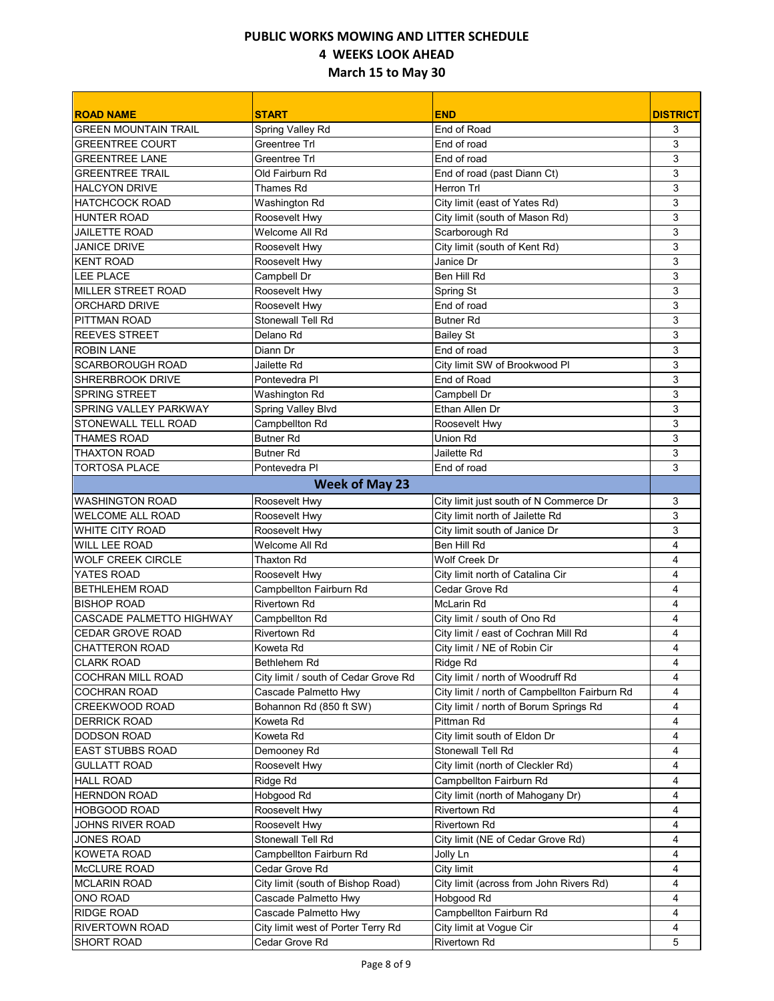| <b>ROAD NAME</b>                              | <b>START</b>                                         | <b>END</b>                                                                | <b>DISTRICT</b> |
|-----------------------------------------------|------------------------------------------------------|---------------------------------------------------------------------------|-----------------|
| <b>GREEN MOUNTAIN TRAIL</b>                   | Spring Valley Rd                                     | End of Road                                                               | 3               |
| <b>GREENTREE COURT</b>                        | <b>Greentree Trl</b>                                 | End of road                                                               | 3               |
| <b>GREENTREE LANE</b>                         | Greentree Trl                                        | End of road                                                               | 3               |
| <b>GREENTREE TRAIL</b>                        | Old Fairburn Rd                                      | End of road (past Diann Ct)                                               | 3               |
| <b>HALCYON DRIVE</b>                          | Thames Rd                                            | <b>Herron Trl</b>                                                         | 3               |
| <b>HATCHCOCK ROAD</b>                         | Washington Rd                                        | City limit (east of Yates Rd)                                             | 3               |
| <b>HUNTER ROAD</b>                            | Roosevelt Hwy                                        | City limit (south of Mason Rd)                                            | 3               |
| <b>JAILETTE ROAD</b>                          | Welcome All Rd                                       | Scarborough Rd                                                            | 3               |
| <b>JANICE DRIVE</b>                           | Roosevelt Hwv                                        | City limit (south of Kent Rd)                                             | 3               |
| <b>KENT ROAD</b>                              | Roosevelt Hwy                                        | Janice Dr                                                                 | 3               |
| LEE PLACE                                     | Campbell Dr                                          | Ben Hill Rd                                                               | 3               |
| MILLER STREET ROAD                            | Roosevelt Hwy                                        | Spring St                                                                 | 3               |
| <b>ORCHARD DRIVE</b>                          | Roosevelt Hwy                                        | End of road                                                               | 3               |
| <b>PITTMAN ROAD</b>                           | <b>Stonewall Tell Rd</b>                             | <b>Butner Rd</b>                                                          | 3               |
| <b>REEVES STREET</b>                          | Delano Rd                                            | <b>Bailey St</b>                                                          | 3               |
| <b>ROBIN LANE</b>                             | Diann Dr                                             | End of road                                                               | 3               |
| <b>SCARBOROUGH ROAD</b>                       | Jailette Rd                                          | City limit SW of Brookwood PI                                             | 3               |
| <b>SHRERBROOK DRIVE</b>                       | Pontevedra Pl                                        | End of Road                                                               | 3               |
| <b>SPRING STREET</b>                          | Washington Rd                                        | Campbell Dr                                                               | 3               |
| <b>SPRING VALLEY PARKWAY</b>                  | Spring Valley Blvd                                   | Ethan Allen Dr                                                            | 3               |
| STONEWALL TELL ROAD                           | Campbellton Rd                                       | Roosevelt Hwy                                                             | 3               |
| <b>THAMES ROAD</b>                            | <b>Butner Rd</b>                                     | Union Rd                                                                  | 3               |
| <b>THAXTON ROAD</b>                           | <b>Butner Rd</b>                                     | Jailette Rd                                                               | 3               |
| <b>TORTOSA PLACE</b>                          | Pontevedra PI                                        | End of road                                                               | 3               |
|                                               | <b>Week of May 23</b>                                |                                                                           |                 |
| <b>WASHINGTON ROAD</b>                        |                                                      |                                                                           |                 |
| <b>WELCOME ALL ROAD</b>                       | Roosevelt Hwy                                        | City limit just south of N Commerce Dr<br>City limit north of Jailette Rd | 3<br>3          |
| WHITE CITY ROAD                               | Roosevelt Hwy                                        | City limit south of Janice Dr                                             | 3               |
| <b>WILL LEE ROAD</b>                          | Roosevelt Hwy<br>Welcome All Rd                      | Ben Hill Rd                                                               | 4               |
| <b>WOLF CREEK CIRCLE</b>                      | <b>Thaxton Rd</b>                                    | Wolf Creek Dr                                                             | 4               |
|                                               |                                                      |                                                                           |                 |
| YATES ROAD                                    | Roosevelt Hwy                                        | City limit north of Catalina Cir                                          | 4<br>4          |
| <b>BETHLEHEM ROAD</b>                         | Campbellton Fairburn Rd                              | Cedar Grove Rd                                                            |                 |
| <b>BISHOP ROAD</b>                            | <b>Rivertown Rd</b>                                  | <b>McLarin Rd</b>                                                         | 4<br>4          |
| CASCADE PALMETTO HIGHWAY                      | Campbellton Rd<br><b>Rivertown Rd</b>                | City limit / south of Ono Rd<br>City limit / east of Cochran Mill Rd      |                 |
| <b>CEDAR GROVE ROAD</b>                       |                                                      |                                                                           | 4<br>4          |
| <b>CHATTERON ROAD</b><br><b>CLARK ROAD</b>    | Koweta Rd                                            | City limit / NE of Robin Cir<br>Ridge Rd                                  |                 |
|                                               | Bethlehem Rd<br>City limit / south of Cedar Grove Rd |                                                                           | 4<br>4          |
| COCHRAN MILL ROAD<br>COCHRAN ROAD             |                                                      | City limit / north of Woodruff Rd                                         |                 |
|                                               | Cascade Palmetto Hwy                                 | City limit / north of Campbellton Fairburn Rd                             | 4               |
| CREEKWOOD ROAD                                | Bohannon Rd (850 ft SW)                              | City limit / north of Borum Springs Rd<br>Pittman Rd                      | 4               |
| <b>DERRICK ROAD</b>                           | Koweta Rd<br>Koweta Rd                               |                                                                           | 4               |
| <b>DODSON ROAD</b><br><b>EAST STUBBS ROAD</b> |                                                      | City limit south of Eldon Dr<br>Stonewall Tell Rd                         | 4               |
| <b>GULLATT ROAD</b>                           | Demooney Rd                                          |                                                                           | 4<br>4          |
| <b>HALL ROAD</b>                              | Roosevelt Hwy                                        | City limit (north of Cleckler Rd)<br>Campbellton Fairburn Rd              | 4               |
| <b>HERNDON ROAD</b>                           | Ridge Rd                                             | City limit (north of Mahogany Dr)                                         | 4               |
| <b>HOBGOOD ROAD</b>                           | Hobgood Rd<br>Roosevelt Hwy                          | Rivertown Rd                                                              | 4               |
| JOHNS RIVER ROAD                              | Roosevelt Hwy                                        | Rivertown Rd                                                              | 4               |
| JONES ROAD                                    | Stonewall Tell Rd                                    | City limit (NE of Cedar Grove Rd)                                         | 4               |
|                                               |                                                      |                                                                           |                 |
| KOWETA ROAD                                   | Campbellton Fairburn Rd                              | Jolly Ln                                                                  | 4<br>4          |
| McCLURE ROAD                                  | Cedar Grove Rd                                       | City limit                                                                |                 |
| <b>MCLARIN ROAD</b>                           | City limit (south of Bishop Road)                    | City limit (across from John Rivers Rd)                                   | 4               |
| ONO ROAD                                      | Cascade Palmetto Hwy                                 | Hobgood Rd                                                                | 4               |
| <b>RIDGE ROAD</b>                             | Cascade Palmetto Hwy                                 | Campbellton Fairburn Rd                                                   | 4               |
| <b>RIVERTOWN ROAD</b>                         | City limit west of Porter Terry Rd                   | City limit at Vogue Cir                                                   | 4               |
| SHORT ROAD                                    | Cedar Grove Rd                                       | Rivertown Rd                                                              | 5               |